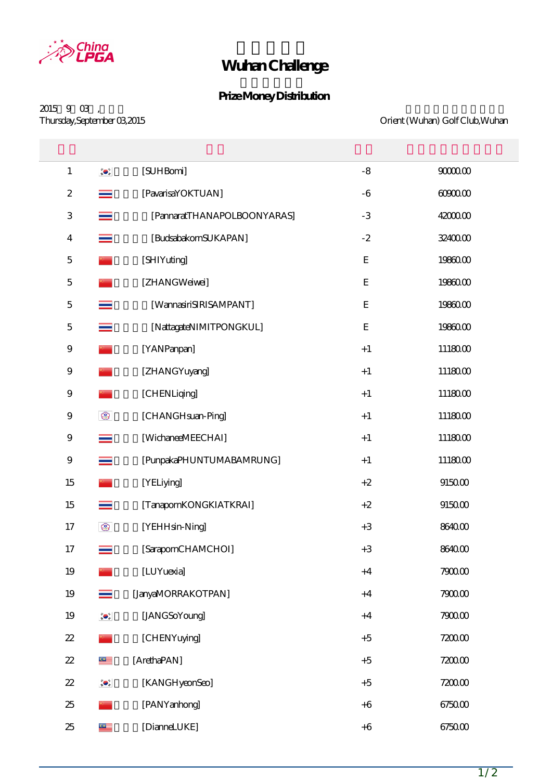

## **Wuhan Challenge**

## **Prize Money Distribution**

 $2015$   $9$   $03$  ,<br>Thursday, September  $03$   $2015$ 

Orient (Wuhan) Golf Club, Wuhan

| $\mathbf{1}$              | $\bullet$      | [SUHBomi]                   | $-8$        | 900000   |
|---------------------------|----------------|-----------------------------|-------------|----------|
| $\boldsymbol{2}$          |                | [PavarisaYOKTUAN]           | $-6$        | 6090000  |
| $\ensuremath{\mathsf{3}}$ |                | [PannaratTHANAPOLBOONYARAS] | $-3$        | 42000.00 |
| $\overline{4}$            |                | [BudsabakornSUKAPAN]        | $-2$        | 32400.00 |
| $\mathbf 5$               |                | [SHIYuting]                 | $\mathbf E$ | 19860.00 |
| $\mathbf 5$               |                | [ZHANGWeiwei]               | ${\bf E}$   | 19860.00 |
| $\mathbf 5$               |                | [WannasiriSIRISAMPANT]      | ${\bf E}$   | 19860.00 |
| $\mathbf 5$               |                | [NattagateNIMITPONGKUL]     | $\mathbf E$ | 19860.00 |
| $\boldsymbol{9}$          |                | [YANPanpan]                 | $+1$        | 1118000  |
| $\boldsymbol{9}$          |                | [ZHANGYuyang]               | $+1$        | 1118000  |
| $\boldsymbol{9}$          |                | [CHENLiqing]                | $+1$        | 1118000  |
| $\boldsymbol{9}$          | $^{\circ}$     | [CHANGHsuan-Ping]           | $+1$        | 1118000  |
| $\boldsymbol{9}$          | $\equiv$       | [WichaneeMEECHAI]           | $+1$        | 1118000  |
| $\boldsymbol{9}$          | $\equiv$       | [PunpakaPHUNTUMABAMRUNG]    | $+1$        | 1118000  |
| 15                        |                | [YELiying]                  | $+2$        | $915000$ |
| 15                        | ≡              | [TanapornKONGKIATKRAI]      | $+2$        | $915000$ |
| 17                        | $^{\circledR}$ | [YEHHsin-Ning]              | $+3$        | 8640.00  |
| 17                        | $\equiv$       | [SarapornCHAMCHOI]          | $+3$        | 8640.00  |
| 19                        |                | [LUYuexia]                  | $+4$        | 7900.00  |
| 19                        |                | [JanyaMORRAKOTPAN]          | $+4$        | $790000$ |
| 19                        | $\bullet$      | [JANGSoYoung]               | $+4$        | 7900.00  |
| $2\!2$                    |                | [CHENYuying]                | $+5$        | 7200.00  |
| $2\!2$                    | $\subseteq$    | [ArethaPAN]                 | $+5$        | 7200.00  |
| $2\!2$                    | $\bullet$      | [KANGHyeonSeo]              | $+5$        | 7200.00  |
| 25                        |                | [PANYanhong]                | $+6$        | 6750.00  |
| 25                        | $\subseteq$    | [DianneLUKE]                | $+6$        | 6750.00  |